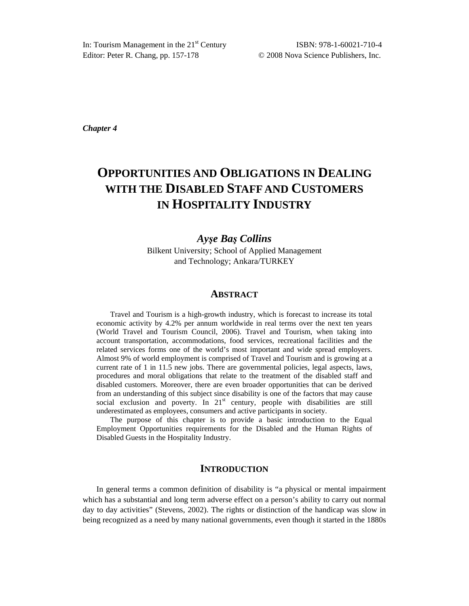*Chapter 4* 

# **OPPORTUNITIES AND OBLIGATIONS IN DEALING WITH THE DISABLED STAFF AND CUSTOMERS IN HOSPITALITY INDUSTRY**

# *Ayşe Baş Collins*

Bilkent University; School of Applied Management and Technology; Ankara/TURKEY

# **ABSTRACT**

Travel and Tourism is a high-growth industry, which is forecast to increase its total economic activity by 4.2% per annum worldwide in real terms over the next ten years (World Travel and Tourism Council, 2006). Travel and Tourism, when taking into account transportation, accommodations, food services, recreational facilities and the related services forms one of the world's most important and wide spread employers. Almost 9% of world employment is comprised of Travel and Tourism and is growing at a current rate of 1 in 11.5 new jobs. There are governmental policies, legal aspects, laws, procedures and moral obligations that relate to the treatment of the disabled staff and disabled customers. Moreover, there are even broader opportunities that can be derived from an understanding of this subject since disability is one of the factors that may cause social exclusion and poverty. In  $21<sup>st</sup>$  century, people with disabilities are still underestimated as employees, consumers and active participants in society.

The purpose of this chapter is to provide a basic introduction to the Equal Employment Opportunities requirements for the Disabled and the Human Rights of Disabled Guests in the Hospitality Industry.

# **INTRODUCTION**

In general terms a common definition of disability is "a physical or mental impairment which has a substantial and long term adverse effect on a person's ability to carry out normal day to day activities" (Stevens, 2002). The rights or distinction of the handicap was slow in being recognized as a need by many national governments, even though it started in the 1880s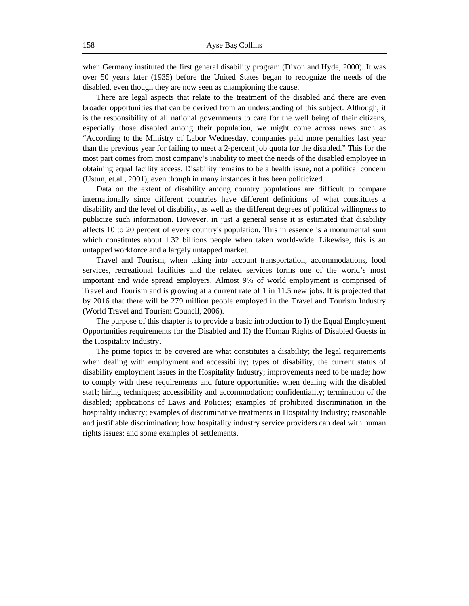when Germany instituted the first general disability program (Dixon and Hyde, 2000). It was over 50 years later (1935) before the United States began to recognize the needs of the disabled, even though they are now seen as championing the cause.

There are legal aspects that relate to the treatment of the disabled and there are even broader opportunities that can be derived from an understanding of this subject. Although, it is the responsibility of all national governments to care for the well being of their citizens, especially those disabled among their population, we might come across news such as "According to the Ministry of Labor Wednesday, companies paid more penalties last year than the previous year for failing to meet a 2-percent job quota for the disabled." This for the most part comes from most company's inability to meet the needs of the disabled employee in obtaining equal facility access. Disability remains to be a health issue, not a political concern (Ustun, et.al., 2001), even though in many instances it has been politicized.

Data on the extent of disability among country populations are difficult to compare internationally since different countries have different definitions of what constitutes a disability and the level of disability, as well as the different degrees of political willingness to publicize such information. However, in just a general sense it is estimated that disability affects 10 to 20 percent of every country's population. This in essence is a monumental sum which constitutes about 1.32 billions people when taken world-wide. Likewise, this is an untapped workforce and a largely untapped market.

Travel and Tourism, when taking into account transportation, accommodations, food services, recreational facilities and the related services forms one of the world's most important and wide spread employers. Almost 9% of world employment is comprised of Travel and Tourism and is growing at a current rate of 1 in 11.5 new jobs. It is projected that by 2016 that there will be 279 million people employed in the Travel and Tourism Industry (World Travel and Tourism Council, 2006).

The purpose of this chapter is to provide a basic introduction to I) the Equal Employment Opportunities requirements for the Disabled and II) the Human Rights of Disabled Guests in the Hospitality Industry.

The prime topics to be covered are what constitutes a disability; the legal requirements when dealing with employment and accessibility; types of disability, the current status of disability employment issues in the Hospitality Industry; improvements need to be made; how to comply with these requirements and future opportunities when dealing with the disabled staff; hiring techniques; accessibility and accommodation; confidentiality; termination of the disabled; applications of Laws and Policies; examples of prohibited discrimination in the hospitality industry; examples of discriminative treatments in Hospitality Industry; reasonable and justifiable discrimination; how hospitality industry service providers can deal with human rights issues; and some examples of settlements.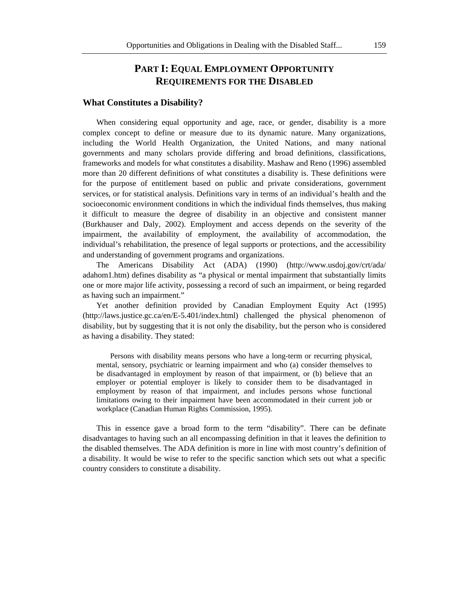# **PART I: EQUAL EMPLOYMENT OPPORTUNITY REQUIREMENTS FOR THE DISABLED**

## **What Constitutes a Disability?**

When considering equal opportunity and age, race, or gender, disability is a more complex concept to define or measure due to its dynamic nature. Many organizations, including the World Health Organization, the United Nations, and many national governments and many scholars provide differing and broad definitions, classifications, frameworks and models for what constitutes a disability. Mashaw and Reno (1996) assembled more than 20 different definitions of what constitutes a disability is. These definitions were for the purpose of entitlement based on public and private considerations, government services, or for statistical analysis. Definitions vary in terms of an individual's health and the socioeconomic environment conditions in which the individual finds themselves, thus making it difficult to measure the degree of disability in an objective and consistent manner (Burkhauser and Daly, 2002). Employment and access depends on the severity of the impairment, the availability of employment, the availability of accommodation, the individual's rehabilitation, the presence of legal supports or protections, and the accessibility and understanding of government programs and organizations.

The Americans Disability Act (ADA) (1990) (http://www.usdoj.gov/crt/ada/ adahom1.htm) defines disability as "a physical or mental impairment that substantially limits one or more major life activity, possessing a record of such an impairment, or being regarded as having such an impairment."

Yet another definition provided by Canadian Employment Equity Act (1995) (http://laws.justice.gc.ca/en/E-5.401/index.html) challenged the physical phenomenon of disability, but by suggesting that it is not only the disability, but the person who is considered as having a disability. They stated:

Persons with disability means persons who have a long-term or recurring physical, mental, sensory, psychiatric or learning impairment and who (a) consider themselves to be disadvantaged in employment by reason of that impairment, or (b) believe that an employer or potential employer is likely to consider them to be disadvantaged in employment by reason of that impairment, and includes persons whose functional limitations owing to their impairment have been accommodated in their current job or workplace (Canadian Human Rights Commission, 1995).

This in essence gave a broad form to the term "disability". There can be definate disadvantages to having such an all encompassing definition in that it leaves the definition to the disabled themselves. The ADA definition is more in line with most country's definition of a disability. It would be wise to refer to the specific sanction which sets out what a specific country considers to constitute a disability.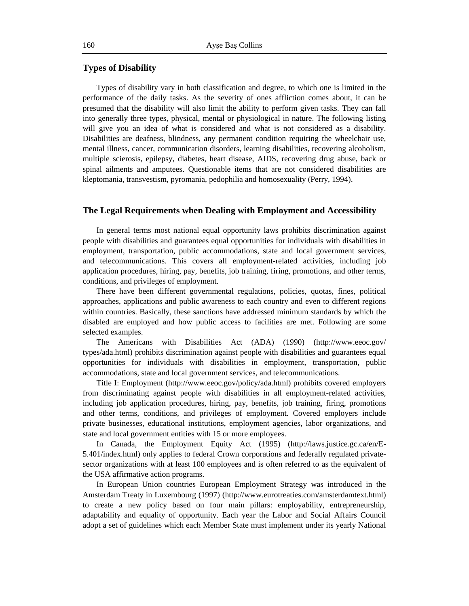# **Types of Disability**

Types of disability vary in both classification and degree, to which one is limited in the performance of the daily tasks. As the severity of ones affliction comes about, it can be presumed that the disability will also limit the ability to perform given tasks. They can fall into generally three types, physical, mental or physiological in nature. The following listing will give you an idea of what is considered and what is not considered as a disability. Disabilities are deafness, blindness, any permanent condition requiring the wheelchair use, mental illness, cancer, communication disorders, learning disabilities, recovering alcoholism, multiple scierosis, epilepsy, diabetes, heart disease, AIDS, recovering drug abuse, back or spinal ailments and amputees. Questionable items that are not considered disabilities are kleptomania, transvestism, pyromania, pedophilia and homosexuality (Perry, 1994).

# **The Legal Requirements when Dealing with Employment and Accessibility**

In general terms most national equal opportunity laws prohibits discrimination against people with disabilities and guarantees equal opportunities for individuals with disabilities in employment, transportation, public accommodations, state and local government services, and telecommunications. This covers all employment-related activities, including job application procedures, hiring, pay, benefits, job training, firing, promotions, and other terms, conditions, and privileges of employment.

There have been different governmental regulations, policies, quotas, fines, political approaches, applications and public awareness to each country and even to different regions within countries. Basically, these sanctions have addressed minimum standards by which the disabled are employed and how public access to facilities are met. Following are some selected examples.

The Americans with Disabilities Act (ADA) (1990) (http://www.eeoc.gov/ types/ada.html) prohibits discrimination against people with disabilities and guarantees equal opportunities for individuals with disabilities in employment, transportation, public accommodations, state and local government services, and telecommunications.

Title I: Employment (http://www.eeoc.gov/policy/ada.html) prohibits covered employers from discriminating against people with disabilities in all employment-related activities, including job application procedures, hiring, pay, benefits, job training, firing, promotions and other terms, conditions, and privileges of employment. Covered employers include private businesses, educational institutions, employment agencies, labor organizations, and state and local government entities with 15 or more employees.

In Canada, the Employment Equity Act (1995) (http://laws.justice.gc.ca/en/E-5.401/index.html) only applies to federal Crown corporations and federally regulated privatesector organizations with at least 100 employees and is often referred to as the equivalent of the USA affirmative action programs.

In European Union countries European Employment Strategy was introduced in the Amsterdam Treaty in Luxembourg (1997) (http://www.eurotreaties.com/amsterdamtext.html) to create a new policy based on four main pillars: employability, entrepreneurship, adaptability and equality of opportunity. Each year the Labor and Social Affairs Council adopt a set of guidelines which each Member State must implement under its yearly National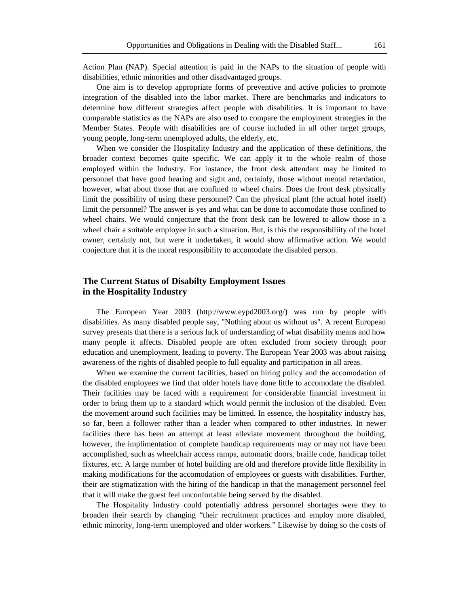Action Plan (NAP). Special attention is paid in the NAPs to the situation of people with disabilities, ethnic minorities and other disadvantaged groups.

One aim is to develop appropriate forms of preventive and active policies to promote integration of the disabled into the labor market. There are benchmarks and indicators to determine how different strategies affect people with disabilities. It is important to have comparable statistics as the NAPs are also used to compare the employment strategies in the Member States. People with disabilities are of course included in all other target groups, young people, long-term unemployed adults, the elderly, etc.

When we consider the Hospitality Industry and the application of these definitions, the broader context becomes quite specific. We can apply it to the whole realm of those employed within the Industry. For instance, the front desk attendant may be limited to personnel that have good hearing and sight and, certainly, those without mental retardation, however, what about those that are confined to wheel chairs. Does the front desk physically limit the possibility of using these personnel? Can the physical plant (the actual hotel itself) limit the personnel? The answer is yes and what can be done to accomodate those confined to wheel chairs. We would conjecture that the front desk can be lowered to allow those in a wheel chair a suitable employee in such a situation. But, is this the responsibiliity of the hotel owner, certainly not, but were it undertaken, it would show affirmative action. We would conjecture that it is the moral responsibility to accomodate the disabled person.

# **The Current Status of Disabilty Employment Issues in the Hospitality Industry**

The European Year 2003 (http://www.eypd2003.org/) was run by people with disabilities. As many disabled people say, "Nothing about us without us". A recent European survey presents that there is a serious lack of understanding of what disability means and how many people it affects. Disabled people are often excluded from society through poor education and unemployment, leading to poverty. The European Year 2003 was about raising awareness of the rights of disabled people to full equality and participation in all areas.

When we examine the current facilities, based on hiring policy and the accomodation of the disabled employees we find that older hotels have done little to accomodate the disabled. Their facilities may be faced with a requirement for considerable financial investment in order to bring them up to a standard which would permit the inclusion of the disabled. Even the movement around such facilities may be limitted. In essence, the hospitality industry has, so far, been a follower rather than a leader when compared to other industries. In newer facilities there has been an attempt at least alleviate movement throughout the building, however, the implimentation of complete handicap requirements may or may not have been accomplished, such as wheelchair access ramps, automatic doors, braille code, handicap toilet fixtures, etc. A large number of hotel building are old and therefore provide little flexibility in making modifications for the accomodation of employees or guests with disabilities. Further, their are stigmatization with the hiring of the handicap in that the management personnel feel that it will make the guest feel unconfortable being served by the disabled.

The Hospitality Industry could potentially address personnel shortages were they to broaden their search by changing "their recruitment practices and employ more disabled, ethnic minority, long-term unemployed and older workers." Likewise by doing so the costs of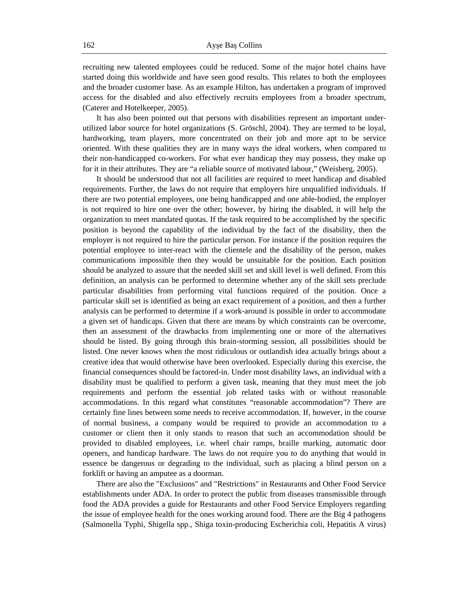recruiting new talented employees could be reduced. Some of the major hotel chains have started doing this worldwide and have seen good results. This relates to both the employees and the broader customer base. As an example Hilton, has undertaken a program of improved access for the disabled and also effectively recruits employees from a broader spectrum, (Caterer and Hotelkeeper, 2005).

It has also been pointed out that persons with disabilities represent an important underutilized labor source for hotel organizations (S. Gröschl, 2004). They are termed to be loyal, hardworking, team players, more concentrated on their job and more apt to be service oriented. With these qualities they are in many ways the ideal workers, when compared to their non-handicapped co-workers. For what ever handicap they may possess, they make up for it in their attributes. They are "a reliable source of motivated labour," (Weisberg, 2005).

It should be understood that not all facilities are required to meet handicap and disabled requirements. Further, the laws do not require that employers hire unqualified individuals. If there are two potential employees, one being handicapped and one able-bodied, the employer is not required to hire one over the other; however, by hiring the disabled, it will help the organization to meet mandated quotas. If the task required to be accomplished by the specific position is beyond the capability of the individual by the fact of the disability, then the employer is not required to hire the particular person. For instance if the position requires the potential employee to inter-react with the clientele and the disability of the person, makes communications impossible then they would be unsuitable for the position. Each position should be analyzed to assure that the needed skill set and skill level is well defined. From this definition, an analysis can be performed to determine whether any of the skill sets preclude particular disabilities from performing vital functions required of the position. Once a particular skill set is identified as being an exact requirement of a position, and then a further analysis can be performed to determine if a work-around is possible in order to accommodate a given set of handicaps. Given that there are means by which constraints can be overcome, then an assessment of the drawbacks from implementing one or more of the alternatives should be listed. By going through this brain-storming session, all possibilities should be listed. One never knows when the most ridiculous or outlandish idea actually brings about a creative idea that would otherwise have been overlooked. Especially during this exercise, the financial consequences should be factored-in. Under most disability laws, an individual with a disability must be qualified to perform a given task, meaning that they must meet the job requirements and perform the essential job related tasks with or without reasonable accommodations. In this regard what constitutes "reasonable accommodation"? There are certainly fine lines between some needs to receive accommodation. If, however, in the course of normal business, a company would be required to provide an accommodation to a customer or client then it only stands to reason that such an accommodation should be provided to disabled employees, i.e. wheel chair ramps, braille marking, automatic door openers, and handicap hardware. The laws do not require you to do anything that would in essence be dangerous or degrading to the individual, such as placing a blind person on a forklift or having an amputee as a doorman.

There are also the "Exclusions" and "Restrictions" in Restaurants and Other Food Service establishments under ADA. In order to protect the public from diseases transmissible through food the ADA provides a guide for Restaurants and other Food Service Employers regarding the issue of employee health for the ones working around food. There are the Big 4 pathogens (Salmonella Typhi*,* Shigella spp.*,* Shiga toxin-producing Escherichia coli, Hepatitis A virus)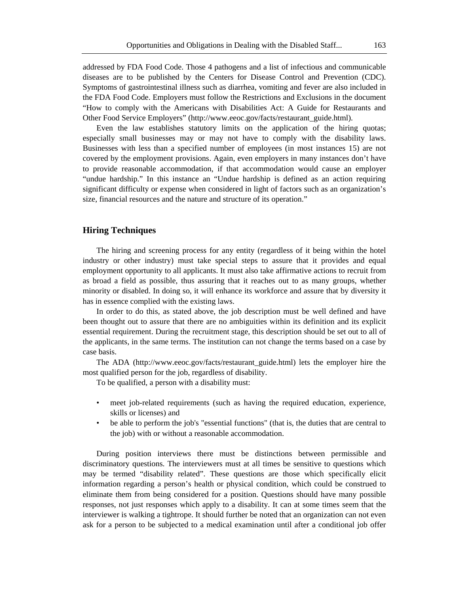addressed by FDA Food Code. Those 4 pathogens and a list of infectious and communicable diseases are to be published by the Centers for Disease Control and Prevention (CDC). Symptoms of gastrointestinal illness such as diarrhea, vomiting and fever are also included in the FDA Food Code. Employers must follow the Restrictions and Exclusions in the document "How to comply with the Americans with Disabilities Act: A Guide for Restaurants and Other Food Service Employers" (http://www.eeoc.gov/facts/restaurant\_guide.html).

Even the law establishes statutory limits on the application of the hiring quotas; especially small businesses may or may not have to comply with the disability laws. Businesses with less than a specified number of employees (in most instances 15) are not covered by the employment provisions. Again, even employers in many instances don't have to provide reasonable accommodation, if that accommodation would cause an employer "undue hardship." In this instance an "Undue hardship is defined as an action requiring significant difficulty or expense when considered in light of factors such as an organization's size, financial resources and the nature and structure of its operation."

# **Hiring Techniques**

The hiring and screening process for any entity (regardless of it being within the hotel industry or other industry) must take special steps to assure that it provides and equal employment opportunity to all applicants. It must also take affirmative actions to recruit from as broad a field as possible, thus assuring that it reaches out to as many groups, whether minority or disabled. In doing so, it will enhance its workforce and assure that by diversity it has in essence complied with the existing laws.

In order to do this, as stated above, the job description must be well defined and have been thought out to assure that there are no ambiguities within its definition and its explicit essential requirement. During the recruitment stage, this description should be set out to all of the applicants, in the same terms. The institution can not change the terms based on a case by case basis.

The ADA (http://www.eeoc.gov/facts/restaurant\_guide.html) lets the employer hire the most qualified person for the job, regardless of disability.

To be qualified, a person with a disability must:

- equirely interest iob-related requirements (such as having the required education, experience, skills or licenses) and
- be able to perform the job's "essential functions" (that is, the duties that are central to the job) with or without a reasonable accommodation.

During position interviews there must be distinctions between permissible and discriminatory questions. The interviewers must at all times be sensitive to questions which may be termed "disability related". These questions are those which specifically elicit information regarding a person's health or physical condition, which could be construed to eliminate them from being considered for a position. Questions should have many possible responses, not just responses which apply to a disability. It can at some times seem that the interviewer is walking a tightrope. It should further be noted that an organization can not even ask for a person to be subjected to a medical examination until after a conditional job offer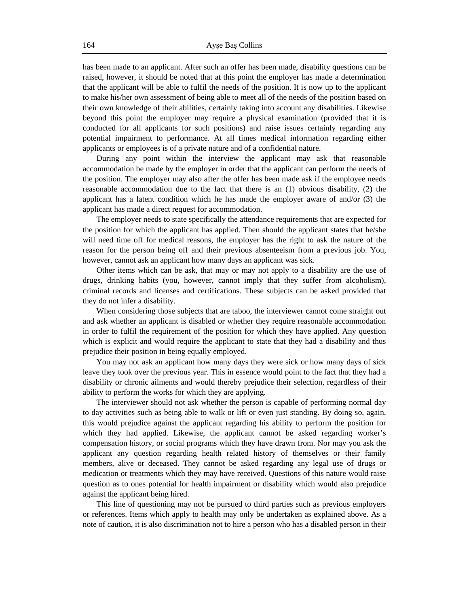has been made to an applicant. After such an offer has been made, disability questions can be raised, however, it should be noted that at this point the employer has made a determination that the applicant will be able to fulfil the needs of the position. It is now up to the applicant to make his/her own assessment of being able to meet all of the needs of the position based on their own knowledge of their abilities, certainly taking into account any disabilities. Likewise beyond this point the employer may require a physical examination (provided that it is conducted for all applicants for such positions) and raise issues certainly regarding any potential impairment to performance. At all times medical information regarding either applicants or employees is of a private nature and of a confidential nature.

During any point within the interview the applicant may ask that reasonable accommodation be made by the employer in order that the applicant can perform the needs of the position. The employer may also after the offer has been made ask if the employee needs reasonable accommodation due to the fact that there is an (1) obvious disability, (2) the applicant has a latent condition which he has made the employer aware of and/or (3) the applicant has made a direct request for accommodation.

The employer needs to state specifically the attendance requirements that are expected for the position for which the applicant has applied. Then should the applicant states that he/she will need time off for medical reasons, the employer has the right to ask the nature of the reason for the person being off and their previous absenteeism from a previous job. You, however, cannot ask an applicant how many days an applicant was sick.

Other items which can be ask, that may or may not apply to a disability are the use of drugs, drinking habits (you, however, cannot imply that they suffer from alcoholism), criminal records and licenses and certifications. These subjects can be asked provided that they do not infer a disability.

When considering those subjects that are taboo, the interviewer cannot come straight out and ask whether an applicant is disabled or whether they require reasonable accommodation in order to fulfil the requirement of the position for which they have applied. Any question which is explicit and would require the applicant to state that they had a disability and thus prejudice their position in being equally employed.

You may not ask an applicant how many days they were sick or how many days of sick leave they took over the previous year. This in essence would point to the fact that they had a disability or chronic ailments and would thereby prejudice their selection, regardless of their ability to perform the works for which they are applying.

The interviewer should not ask whether the person is capable of performing normal day to day activities such as being able to walk or lift or even just standing. By doing so, again, this would prejudice against the applicant regarding his ability to perform the position for which they had applied. Likewise, the applicant cannot be asked regarding worker's compensation history, or social programs which they have drawn from. Nor may you ask the applicant any question regarding health related history of themselves or their family members, alive or deceased. They cannot be asked regarding any legal use of drugs or medication or treatments which they may have received. Questions of this nature would raise question as to ones potential for health impairment or disability which would also prejudice against the applicant being hired.

This line of questioning may not be pursued to third parties such as previous employers or references. Items which apply to health may only be undertaken as explained above. As a note of caution, it is also discrimination not to hire a person who has a disabled person in their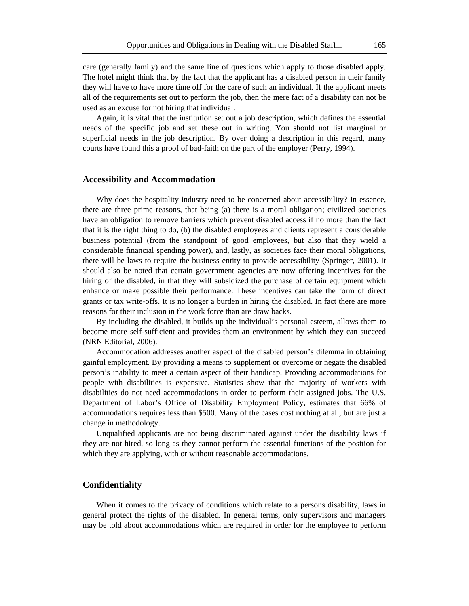care (generally family) and the same line of questions which apply to those disabled apply. The hotel might think that by the fact that the applicant has a disabled person in their family they will have to have more time off for the care of such an individual. If the applicant meets all of the requirements set out to perform the job, then the mere fact of a disability can not be used as an excuse for not hiring that individual.

Again, it is vital that the institution set out a job description, which defines the essential needs of the specific job and set these out in writing. You should not list marginal or superficial needs in the job description. By over doing a description in this regard, many courts have found this a proof of bad-faith on the part of the employer (Perry, 1994).

#### **Accessibility and Accommodation**

Why does the hospitality industry need to be concerned about accessibility? In essence, there are three prime reasons, that being (a) there is a moral obligation; civilized societies have an obligation to remove barriers which prevent disabled access if no more than the fact that it is the right thing to do, (b) the disabled employees and clients represent a considerable business potential (from the standpoint of good employees, but also that they wield a considerable financial spending power), and, lastly, as societies face their moral obligations, there will be laws to require the business entity to provide accessibility (Springer, 2001). It should also be noted that certain government agencies are now offering incentives for the hiring of the disabled, in that they will subsidized the purchase of certain equipment which enhance or make possible their performance. These incentives can take the form of direct grants or tax write-offs. It is no longer a burden in hiring the disabled. In fact there are more reasons for their inclusion in the work force than are draw backs.

By including the disabled, it builds up the individual's personal esteem, allows them to become more self-sufficient and provides them an environment by which they can succeed (NRN Editorial, 2006).

Accommodation addresses another aspect of the disabled person's dilemma in obtaining gainful employment. By providing a means to supplement or overcome or negate the disabled person's inability to meet a certain aspect of their handicap. Providing accommodations for people with disabilities is expensive. Statistics show that the majority of workers with disabilities do not need accommodations in order to perform their assigned jobs. The U.S. Department of Labor's Office of Disability Employment Policy, estimates that 66% of accommodations requires less than \$500. Many of the cases cost nothing at all, but are just a change in methodology.

Unqualified applicants are not being discriminated against under the disability laws if they are not hired, so long as they cannot perform the essential functions of the position for which they are applying, with or without reasonable accommodations.

## **Confidentiality**

When it comes to the privacy of conditions which relate to a persons disability, laws in general protect the rights of the disabled. In general terms, only supervisors and managers may be told about accommodations which are required in order for the employee to perform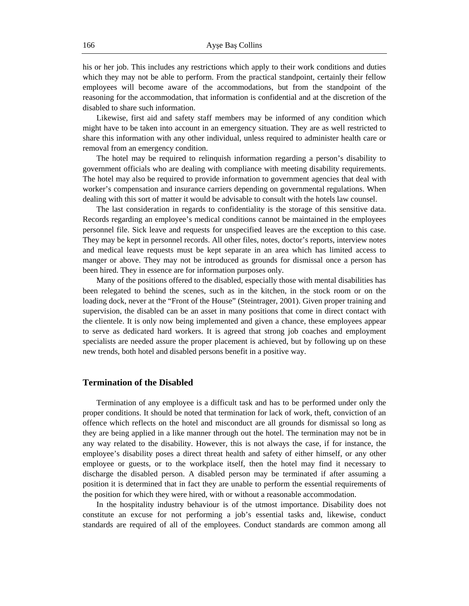his or her job. This includes any restrictions which apply to their work conditions and duties which they may not be able to perform. From the practical standpoint, certainly their fellow employees will become aware of the accommodations, but from the standpoint of the reasoning for the accommodation, that information is confidential and at the discretion of the disabled to share such information.

Likewise, first aid and safety staff members may be informed of any condition which might have to be taken into account in an emergency situation. They are as well restricted to share this information with any other individual, unless required to administer health care or removal from an emergency condition.

The hotel may be required to relinquish information regarding a person's disability to government officials who are dealing with compliance with meeting disability requirements. The hotel may also be required to provide information to government agencies that deal with worker's compensation and insurance carriers depending on governmental regulations. When dealing with this sort of matter it would be advisable to consult with the hotels law counsel.

The last consideration in regards to confidentiality is the storage of this sensitive data. Records regarding an employee's medical conditions cannot be maintained in the employees personnel file. Sick leave and requests for unspecified leaves are the exception to this case. They may be kept in personnel records. All other files, notes, doctor's reports, interview notes and medical leave requests must be kept separate in an area which has limited access to manger or above. They may not be introduced as grounds for dismissal once a person has been hired. They in essence are for information purposes only.

Many of the positions offered to the disabled, especially those with mental disabilities has been relegated to behind the scenes, such as in the kitchen, in the stock room or on the loading dock, never at the "Front of the House" (Steintrager, 2001). Given proper training and supervision, the disabled can be an asset in many positions that come in direct contact with the clientele. It is only now being implemented and given a chance, these employees appear to serve as dedicated hard workers. It is agreed that strong job coaches and employment specialists are needed assure the proper placement is achieved, but by following up on these new trends, both hotel and disabled persons benefit in a positive way.

# **Termination of the Disabled**

Termination of any employee is a difficult task and has to be performed under only the proper conditions. It should be noted that termination for lack of work, theft, conviction of an offence which reflects on the hotel and misconduct are all grounds for dismissal so long as they are being applied in a like manner through out the hotel. The termination may not be in any way related to the disability. However, this is not always the case, if for instance, the employee's disability poses a direct threat health and safety of either himself, or any other employee or guests, or to the workplace itself, then the hotel may find it necessary to discharge the disabled person. A disabled person may be terminated if after assuming a position it is determined that in fact they are unable to perform the essential requirements of the position for which they were hired, with or without a reasonable accommodation.

In the hospitality industry behaviour is of the utmost importance. Disability does not constitute an excuse for not performing a job's essential tasks and, likewise, conduct standards are required of all of the employees. Conduct standards are common among all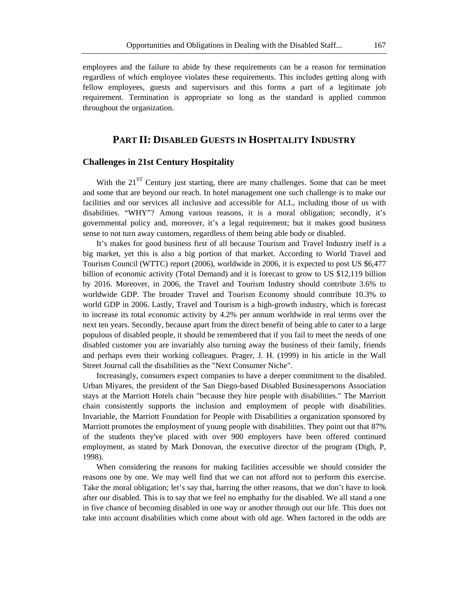employees and the failure to abide by these requirements can be a reason for termination regardless of which employee violates these requirements. This includes getting along with fellow employees, guests and supervisors and this forms a part of a legitimate job requirement. Termination is appropriate so long as the standard is applied common throughout the organization.

# **PART II: DISABLED GUESTS IN HOSPITALITY INDUSTRY**

## **Challenges in 21st Century Hospitality**

With the  $21<sup>ST</sup>$  Century just starting, there are many challenges. Some that can be meet and some that are beyond our reach. In hotel management one such challenge is to make our facilities and our services all inclusive and accessible for ALL, including those of us with disabilities. "WHY"? Among various reasons, it is a moral obligation; secondly, it's governmental policy and, moreover, it's a legal requirement; but it makes good business sense to not turn away customers, regardless of them being able body or disabled.

It's makes for good business first of all because Tourism and Travel Industry itself is a big market, yet this is also a big portion of that market. According to World Travel and Tourism Council (WTTC) report (2006), worldwide in 2006, it is expected to post US \$6,477 billion of economic activity (Total Demand) and it is forecast to grow to US \$12,119 billion by 2016. Moreover, in 2006, the Travel and Tourism Industry should contribute 3.6% to worldwide GDP. The broader Travel and Tourism Economy should contribute 10.3% to world GDP in 2006. Lastly, Travel and Tourism is a high-growth industry, which is forecast to increase its total economic activity by 4.2% per annum worldwide in real terms over the next ten years. Secondly, because apart from the direct benefit of being able to cater to a large populous of disabled people, it should be remembered that if you fail to meet the needs of one disabled customer you are invariably also turning away the business of their family, friends and perhaps even their working colleagues. Prager, J. H. (1999) in his article in the Wall Street Journal call the disabilities as the "Next Consumer Niche".

Increasingly, consumers expect companies to have a deeper commitment to the disabled. Urban Miyares, the president of the San Diego-based Disabled Businesspersons Association stays at the Marriott Hotels chain "because they hire people with disabilities." The Marriott chain consistently supports the inclusion and employment of people with disabilities. Invariable, the Marriott Foundation for People with Disabilities a organization sponsored by Marriott promotes the employment of young people with disabilities. They point out that 87% of the students they've placed with over 900 employers have been offered continued employment, as stated by Mark Donovan, the executive director of the program (Digh, P, 1998).

When considering the reasons for making facilities accessible we should consider the reasons one by one. We may well find that we can not afford not to perform this exercise. Take the moral obligation; let's say that, barring the other reasons, that we don't have to look after our disabled. This is to say that we feel no emphathy for the disabled. We all stand a one in five chance of becoming disabled in one way or another through out our life. This does not take into account disabilities which come about with old age. When factored in the odds are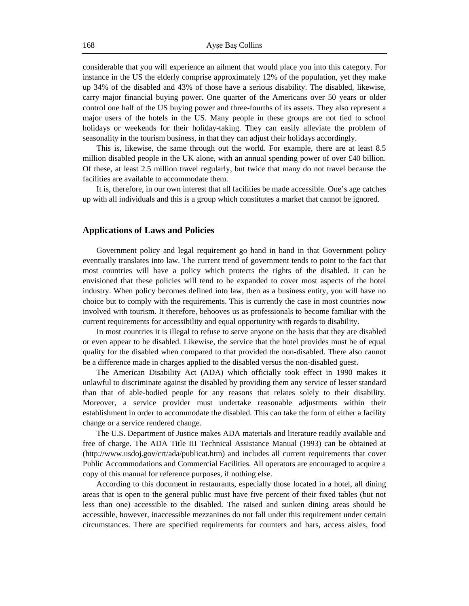considerable that you will experience an ailment that would place you into this category. For instance in the US the elderly comprise approximately 12% of the population, yet they make up 34% of the disabled and 43% of those have a serious disability. The disabled, likewise, carry major financial buying power. One quarter of the Americans over 50 years or older control one half of the US buying power and three-fourths of its assets. They also represent a major users of the hotels in the US. Many people in these groups are not tied to school holidays or weekends for their holiday-taking. They can easily alleviate the problem of seasonality in the tourism business, in that they can adjust their holidays accordingly.

This is, likewise, the same through out the world. For example, there are at least 8.5 million disabled people in the UK alone, with an annual spending power of over £40 billion. Of these, at least 2.5 million travel regularly, but twice that many do not travel because the facilities are available to accommodate them.

It is, therefore, in our own interest that all facilities be made accessible. One's age catches up with all individuals and this is a group which constitutes a market that cannot be ignored.

## **Applications of Laws and Policies**

Government policy and legal requirement go hand in hand in that Government policy eventually translates into law. The current trend of government tends to point to the fact that most countries will have a policy which protects the rights of the disabled. It can be envisioned that these policies will tend to be expanded to cover most aspects of the hotel industry. When policy becomes defined into law, then as a business entity, you will have no choice but to comply with the requirements. This is currently the case in most countries now involved with tourism. It therefore, behooves us as professionals to become familiar with the current requirements for accessibility and equal opportunity with regards to disability.

In most countries it is illegal to refuse to serve anyone on the basis that they are disabled or even appear to be disabled. Likewise, the service that the hotel provides must be of equal quality for the disabled when compared to that provided the non-disabled. There also cannot be a difference made in charges applied to the disabled versus the non-disabled guest.

The American Disability Act (ADA) which officially took effect in 1990 makes it unlawful to discriminate against the disabled by providing them any service of lesser standard than that of able-bodied people for any reasons that relates solely to their disability. Moreover, a service provider must undertake reasonable adjustments within their establishment in order to accommodate the disabled. This can take the form of either a facility change or a service rendered change.

The U.S. Department of Justice makes ADA materials and literature readily available and free of charge. The ADA Title III Technical Assistance Manual (1993) can be obtained at (http://www.usdoj.gov/crt/ada/publicat.htm) and includes all current requirements that cover Public Accommodations and Commercial Facilities. All operators are encouraged to acquire a copy of this manual for reference purposes, if nothing else.

According to this document in restaurants, especially those located in a hotel, all dining areas that is open to the general public must have five percent of their fixed tables (but not less than one) accessible to the disabled. The raised and sunken dining areas should be accessible, however, inaccessible mezzanines do not fall under this requirement under certain circumstances. There are specified requirements for counters and bars, access aisles, food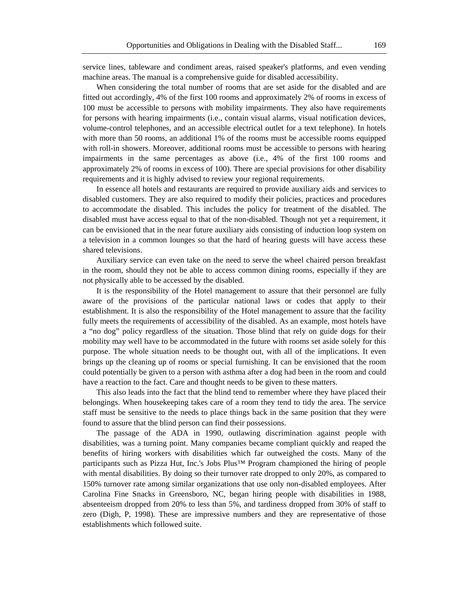service lines, tableware and condiment areas, raised speaker's platforms, and even vending machine areas. The manual is a comprehensive guide for disabled accessibility.

When considering the total number of rooms that are set aside for the disabled and are fitted out accordingly, 4% of the first 100 rooms and approximately 2% of rooms in excess of 100 must be accessible to persons with mobility impairments. They also have requirements for persons with hearing impairments (i.e., contain visual alarms, visual notification devices, volume-control telephones, and an accessible electrical outlet for a text telephone). In hotels with more than 50 rooms, an additional 1% of the rooms must be accessible rooms equipped with roll-in showers. Moreover, additional rooms must be accessible to persons with hearing impairments in the same percentages as above (i.e., 4% of the first 100 rooms and approximately 2% of rooms in excess of 100). There are special provisions for other disability requirements and it is highly advised to review your regional requirements.

In essence all hotels and restaurants are required to provide auxiliary aids and services to disabled customers. They are also required to modify their policies, practices and procedures to accommodate the disabled. This includes the policy for treatment of the disabled. The disabled must have access equal to that of the non-disabled. Though not yet a requirement, it can be envisioned that in the near future auxiliary aids consisting of induction loop system on a television in a common lounges so that the hard of hearing guests will have access these shared televisions.

Auxiliary service can even take on the need to serve the wheel chaired person breakfast in the room, should they not be able to access common dining rooms, especially if they are not physically able to be accessed by the disabled.

It is the responsibility of the Hotel management to assure that their personnel are fully aware of the provisions of the particular national laws or codes that apply to their establishment. It is also the responsibility of the Hotel management to assure that the facility fully meets the requirements of accessibility of the disabled. As an example, most hotels have a "no dog" policy regardless of the situation. Those blind that rely on guide dogs for their mobility may well have to be accommodated in the future with rooms set aside solely for this purpose. The whole situation needs to be thought out, with all of the implications. It even brings up the cleaning up of rooms or special furnishing. It can be envisioned that the room could potentially be given to a person with asthma after a dog had been in the room and could have a reaction to the fact. Care and thought needs to be given to these matters.

This also leads into the fact that the blind tend to remember where they have placed their belongings. When housekeeping takes care of a room they tend to tidy the area. The service staff must be sensitive to the needs to place things back in the same position that they were found to assure that the blind person can find their possessions.

The passage of the ADA in 1990, outlawing discrimination against people with disabilities, was a turning point. Many companies became compliant quickly and reaped the benefits of hiring workers with disabilities which far outweighed the costs. Many of the participants such as Pizza Hut, Inc.'s Jobs Plus™ Program championed the hiring of people with mental disabilities. By doing so their turnover rate dropped to only 20%, as compared to 150% turnover rate among similar organizations that use only non-disabled employees. After Carolina Fine Snacks in Greensboro, NC, began hiring people with disabilities in 1988, absenteeism dropped from 20% to less than 5%, and tardiness dropped from 30% of staff to zero (Digh, P, 1998). These are impressive numbers and they are representative of those establishments which followed suite.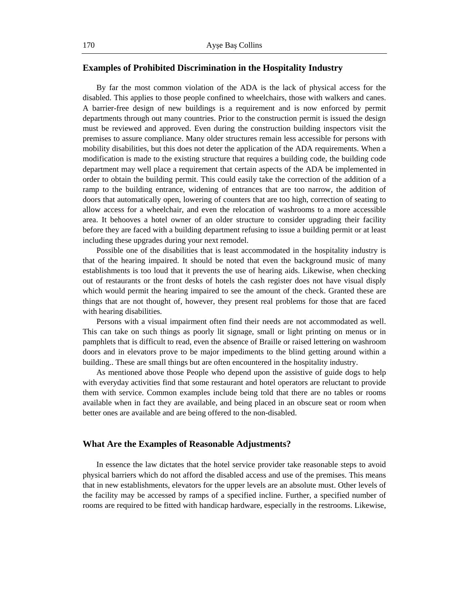# **Examples of Prohibited Discrimination in the Hospitality Industry**

By far the most common violation of the ADA is the lack of physical access for the disabled. This applies to those people confined to wheelchairs, those with walkers and canes. A barrier-free design of new buildings is a requirement and is now enforced by permit departments through out many countries. Prior to the construction permit is issued the design must be reviewed and approved. Even during the construction building inspectors visit the premises to assure compliance. Many older structures remain less accessible for persons with mobility disabilities, but this does not deter the application of the ADA requirements. When a modification is made to the existing structure that requires a building code, the building code department may well place a requirement that certain aspects of the ADA be implemented in order to obtain the building permit. This could easily take the correction of the addition of a ramp to the building entrance, widening of entrances that are too narrow, the addition of doors that automatically open, lowering of counters that are too high, correction of seating to allow access for a wheelchair, and even the relocation of washrooms to a more accessible area. It behooves a hotel owner of an older structure to consider upgrading their facility before they are faced with a building department refusing to issue a building permit or at least including these upgrades during your next remodel.

Possible one of the disabilities that is least accommodated in the hospitality industry is that of the hearing impaired. It should be noted that even the background music of many establishments is too loud that it prevents the use of hearing aids. Likewise, when checking out of restaurants or the front desks of hotels the cash register does not have visual disply which would permit the hearing impaired to see the amount of the check. Granted these are things that are not thought of, however, they present real problems for those that are faced with hearing disabilities.

Persons with a visual impairment often find their needs are not accommodated as well. This can take on such things as poorly lit signage, small or light printing on menus or in pamphlets that is difficult to read, even the absence of Braille or raised lettering on washroom doors and in elevators prove to be major impediments to the blind getting around within a building.. These are small things but are often encountered in the hospitality industry.

As mentioned above those People who depend upon the assistive of guide dogs to help with everyday activities find that some restaurant and hotel operators are reluctant to provide them with service. Common examples include being told that there are no tables or rooms available when in fact they are available, and being placed in an obscure seat or room when better ones are available and are being offered to the non-disabled.

# **What Are the Examples of Reasonable Adjustments?**

In essence the law dictates that the hotel service provider take reasonable steps to avoid physical barriers which do not afford the disabled access and use of the premises. This means that in new establishments, elevators for the upper levels are an absolute must. Other levels of the facility may be accessed by ramps of a specified incline. Further, a specified number of rooms are required to be fitted with handicap hardware, especially in the restrooms. Likewise,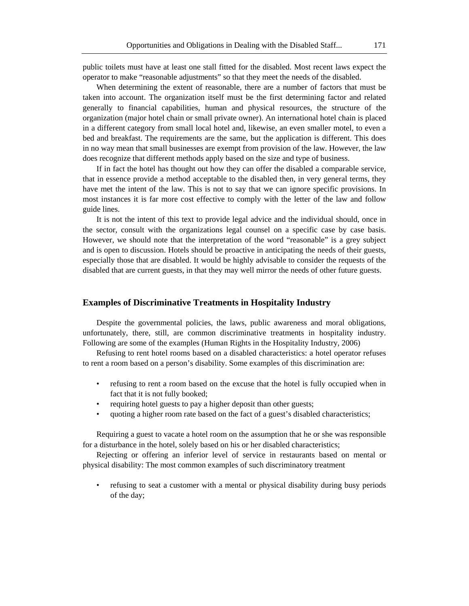public toilets must have at least one stall fitted for the disabled. Most recent laws expect the operator to make "reasonable adjustments" so that they meet the needs of the disabled.

When determining the extent of reasonable, there are a number of factors that must be taken into account. The organization itself must be the first determining factor and related generally to financial capabilities, human and physical resources, the structure of the organization (major hotel chain or small private owner). An international hotel chain is placed in a different category from small local hotel and, likewise, an even smaller motel, to even a bed and breakfast. The requirements are the same, but the application is different. This does in no way mean that small businesses are exempt from provision of the law. However, the law does recognize that different methods apply based on the size and type of business.

If in fact the hotel has thought out how they can offer the disabled a comparable service, that in essence provide a method acceptable to the disabled then, in very general terms, they have met the intent of the law. This is not to say that we can ignore specific provisions. In most instances it is far more cost effective to comply with the letter of the law and follow guide lines.

It is not the intent of this text to provide legal advice and the individual should, once in the sector, consult with the organizations legal counsel on a specific case by case basis. However, we should note that the interpretation of the word "reasonable" is a grey subject and is open to discussion. Hotels should be proactive in anticipating the needs of their guests, especially those that are disabled. It would be highly advisable to consider the requests of the disabled that are current guests, in that they may well mirror the needs of other future guests.

# **Examples of Discriminative Treatments in Hospitality Industry**

Despite the governmental policies, the laws, public awareness and moral obligations, unfortunately, there, still, are common discriminative treatments in hospitality industry. Following are some of the examples (Human Rights in the Hospitality Industry, 2006)

Refusing to rent hotel rooms based on a disabled characteristics: a hotel operator refuses to rent a room based on a person's disability. Some examples of this discrimination are:

- refusing to rent a room based on the excuse that the hotel is fully occupied when in fact that it is not fully booked;
- requiring hotel guests to pay a higher deposit than other guests;
- quoting a higher room rate based on the fact of a guest's disabled characteristics;

Requiring a guest to vacate a hotel room on the assumption that he or she was responsible for a disturbance in the hotel, solely based on his or her disabled characteristics;

Rejecting or offering an inferior level of service in restaurants based on mental or physical disability: The most common examples of such discriminatory treatment

• refusing to seat a customer with a mental or physical disability during busy periods of the day;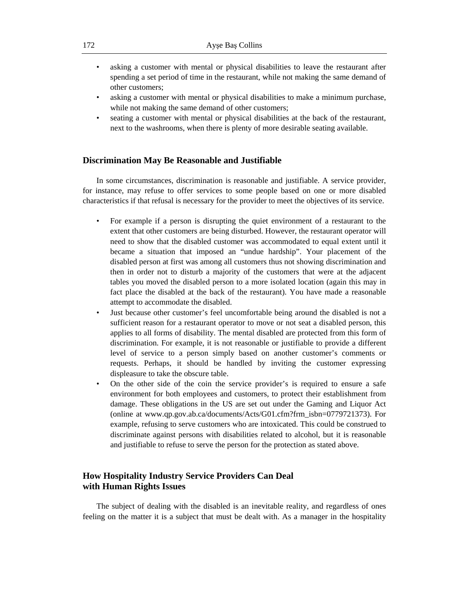- asking a customer with mental or physical disabilities to leave the restaurant after spending a set period of time in the restaurant, while not making the same demand of other customers;
- asking a customer with mental or physical disabilities to make a minimum purchase, while not making the same demand of other customers;
- seating a customer with mental or physical disabilities at the back of the restaurant, next to the washrooms, when there is plenty of more desirable seating available.

# **Discrimination May Be Reasonable and Justifiable**

In some circumstances, discrimination is reasonable and justifiable. A service provider, for instance, may refuse to offer services to some people based on one or more disabled characteristics if that refusal is necessary for the provider to meet the objectives of its service.

- For example if a person is disrupting the quiet environment of a restaurant to the extent that other customers are being disturbed. However, the restaurant operator will need to show that the disabled customer was accommodated to equal extent until it became a situation that imposed an "undue hardship". Your placement of the disabled person at first was among all customers thus not showing discrimination and then in order not to disturb a majority of the customers that were at the adjacent tables you moved the disabled person to a more isolated location (again this may in fact place the disabled at the back of the restaurant). You have made a reasonable attempt to accommodate the disabled.
- Just because other customer's feel uncomfortable being around the disabled is not a sufficient reason for a restaurant operator to move or not seat a disabled person, this applies to all forms of disability. The mental disabled are protected from this form of discrimination. For example, it is not reasonable or justifiable to provide a different level of service to a person simply based on another customer's comments or requests. Perhaps, it should be handled by inviting the customer expressing displeasure to take the obscure table.
- On the other side of the coin the service provider's is required to ensure a safe environment for both employees and customers, to protect their establishment from damage. These obligations in the US are set out under the Gaming and Liquor Act (online at www.qp.gov.ab.ca/documents/Acts/G01.cfm?frm\_isbn=0779721373). For example, refusing to serve customers who are intoxicated. This could be construed to discriminate against persons with disabilities related to alcohol, but it is reasonable and justifiable to refuse to serve the person for the protection as stated above.

# **How Hospitality Industry Service Providers Can Deal with Human Rights Issues**

The subject of dealing with the disabled is an inevitable reality, and regardless of ones feeling on the matter it is a subject that must be dealt with. As a manager in the hospitality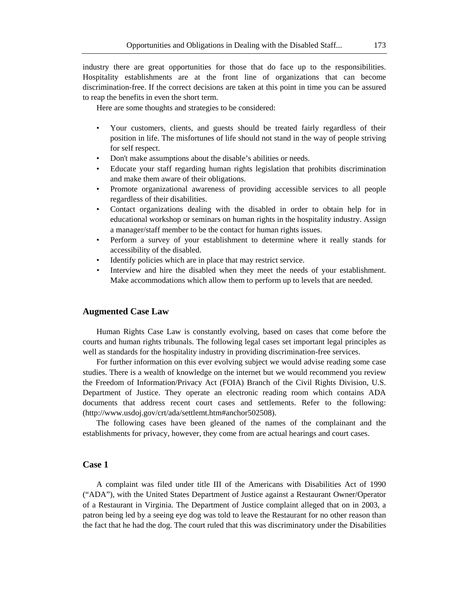industry there are great opportunities for those that do face up to the responsibilities. Hospitality establishments are at the front line of organizations that can become discrimination-free. If the correct decisions are taken at this point in time you can be assured to reap the benefits in even the short term.

Here are some thoughts and strategies to be considered:

- Your customers, clients, and guests should be treated fairly regardless of their position in life. The misfortunes of life should not stand in the way of people striving for self respect.
- Don't make assumptions about the disable's abilities or needs.
- Educate your staff regarding human rights legislation that prohibits discrimination and make them aware of their obligations.
- Promote organizational awareness of providing accessible services to all people regardless of their disabilities.
- Contact organizations dealing with the disabled in order to obtain help for in educational workshop or seminars on human rights in the hospitality industry. Assign a manager/staff member to be the contact for human rights issues.
- Perform a survey of your establishment to determine where it really stands for accessibility of the disabled.
- Identify policies which are in place that may restrict service.
- Interview and hire the disabled when they meet the needs of your establishment. Make accommodations which allow them to perform up to levels that are needed.

# **Augmented Case Law**

Human Rights Case Law is constantly evolving, based on cases that come before the courts and human rights tribunals. The following legal cases set important legal principles as well as standards for the hospitality industry in providing discrimination-free services.

For further information on this ever evolving subject we would advise reading some case studies. There is a wealth of knowledge on the internet but we would recommend you review the Freedom of Information/Privacy Act (FOIA) Branch of the Civil Rights Division, U.S. Department of Justice. They operate an electronic reading room which contains ADA documents that address recent court cases and settlements. Refer to the following: (http://www.usdoj.gov/crt/ada/settlemt.htm#anchor502508).

The following cases have been gleaned of the names of the complainant and the establishments for privacy, however, they come from are actual hearings and court cases.

# **Case 1**

A complaint was filed under title III of the Americans with Disabilities Act of 1990 ("ADA"), with the United States Department of Justice against a Restaurant Owner/Operator of a Restaurant in Virginia. The Department of Justice complaint alleged that on in 2003, a patron being led by a seeing eye dog was told to leave the Restaurant for no other reason than the fact that he had the dog. The court ruled that this was discriminatory under the Disabilities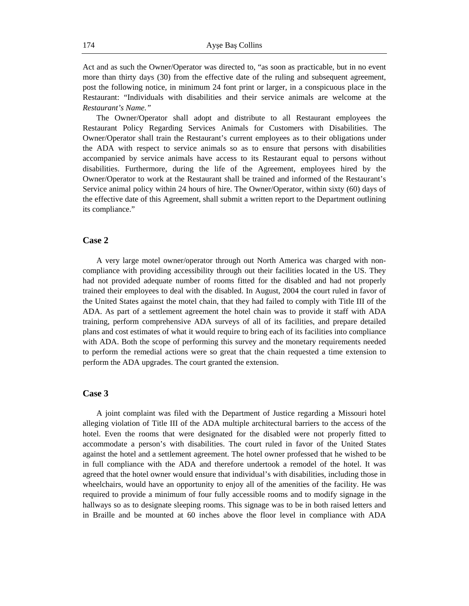Act and as such the Owner/Operator was directed to, "as soon as practicable, but in no event more than thirty days (30) from the effective date of the ruling and subsequent agreement, post the following notice, in minimum 24 font print or larger, in a conspicuous place in the Restaurant: "Individuals with disabilities and their service animals are welcome at the *Restaurant's Name."* 

The Owner/Operator shall adopt and distribute to all Restaurant employees the Restaurant Policy Regarding Services Animals for Customers with Disabilities. The Owner/Operator shall train the Restaurant's current employees as to their obligations under the ADA with respect to service animals so as to ensure that persons with disabilities accompanied by service animals have access to its Restaurant equal to persons without disabilities. Furthermore, during the life of the Agreement, employees hired by the Owner/Operator to work at the Restaurant shall be trained and informed of the Restaurant's Service animal policy within 24 hours of hire. The Owner/Operator, within sixty (60) days of the effective date of this Agreement, shall submit a written report to the Department outlining its compliance."

## **Case 2**

A very large motel owner/operator through out North America was charged with noncompliance with providing accessibility through out their facilities located in the US. They had not provided adequate number of rooms fitted for the disabled and had not properly trained their employees to deal with the disabled. In August, 2004 the court ruled in favor of the United States against the motel chain, that they had failed to comply with Title III of the ADA. As part of a settlement agreement the hotel chain was to provide it staff with ADA training, perform comprehensive ADA surveys of all of its facilities, and prepare detailed plans and cost estimates of what it would require to bring each of its facilities into compliance with ADA. Both the scope of performing this survey and the monetary requirements needed to perform the remedial actions were so great that the chain requested a time extension to perform the ADA upgrades. The court granted the extension.

## **Case 3**

A joint complaint was filed with the Department of Justice regarding a Missouri hotel alleging violation of Title III of the ADA multiple architectural barriers to the access of the hotel. Even the rooms that were designated for the disabled were not properly fitted to accommodate a person's with disabilities. The court ruled in favor of the United States against the hotel and a settlement agreement. The hotel owner professed that he wished to be in full compliance with the ADA and therefore undertook a remodel of the hotel. It was agreed that the hotel owner would ensure that individual's with disabilities, including those in wheelchairs, would have an opportunity to enjoy all of the amenities of the facility. He was required to provide a minimum of four fully accessible rooms and to modify signage in the hallways so as to designate sleeping rooms. This signage was to be in both raised letters and in Braille and be mounted at 60 inches above the floor level in compliance with ADA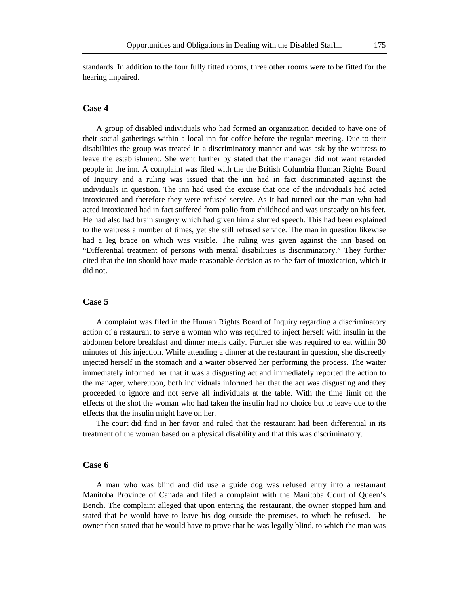standards. In addition to the four fully fitted rooms, three other rooms were to be fitted for the hearing impaired.

#### **Case 4**

A group of disabled individuals who had formed an organization decided to have one of their social gatherings within a local inn for coffee before the regular meeting. Due to their disabilities the group was treated in a discriminatory manner and was ask by the waitress to leave the establishment. She went further by stated that the manager did not want retarded people in the inn. A complaint was filed with the the British Columbia Human Rights Board of Inquiry and a ruling was issued that the inn had in fact discriminated against the individuals in question. The inn had used the excuse that one of the individuals had acted intoxicated and therefore they were refused service. As it had turned out the man who had acted intoxicated had in fact suffered from polio from childhood and was unsteady on his feet. He had also had brain surgery which had given him a slurred speech. This had been explained to the waitress a number of times, yet she still refused service. The man in question likewise had a leg brace on which was visible. The ruling was given against the inn based on "Differential treatment of persons with mental disabilities is discriminatory." They further cited that the inn should have made reasonable decision as to the fact of intoxication, which it did not.

## **Case 5**

A complaint was filed in the Human Rights Board of Inquiry regarding a discriminatory action of a restaurant to serve a woman who was required to inject herself with insulin in the abdomen before breakfast and dinner meals daily. Further she was required to eat within 30 minutes of this injection. While attending a dinner at the restaurant in question, she discreetly injected herself in the stomach and a waiter observed her performing the process. The waiter immediately informed her that it was a disgusting act and immediately reported the action to the manager, whereupon, both individuals informed her that the act was disgusting and they proceeded to ignore and not serve all individuals at the table. With the time limit on the effects of the shot the woman who had taken the insulin had no choice but to leave due to the effects that the insulin might have on her.

The court did find in her favor and ruled that the restaurant had been differential in its treatment of the woman based on a physical disability and that this was discriminatory.

## **Case 6**

A man who was blind and did use a guide dog was refused entry into a restaurant Manitoba Province of Canada and filed a complaint with the Manitoba Court of Queen's Bench. The complaint alleged that upon entering the restaurant, the owner stopped him and stated that he would have to leave his dog outside the premises, to which he refused. The owner then stated that he would have to prove that he was legally blind, to which the man was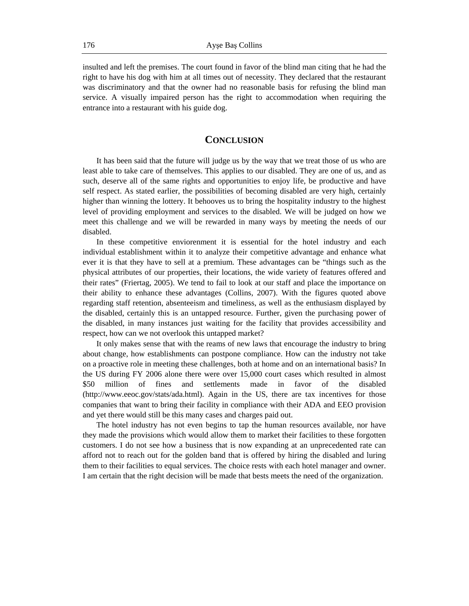insulted and left the premises. The court found in favor of the blind man citing that he had the right to have his dog with him at all times out of necessity. They declared that the restaurant was discriminatory and that the owner had no reasonable basis for refusing the blind man service. A visually impaired person has the right to accommodation when requiring the entrance into a restaurant with his guide dog.

# **CONCLUSION**

It has been said that the future will judge us by the way that we treat those of us who are least able to take care of themselves. This applies to our disabled. They are one of us, and as such, deserve all of the same rights and opportunities to enjoy life, be productive and have self respect. As stated earlier, the possibilities of becoming disabled are very high, certainly higher than winning the lottery. It behooves us to bring the hospitality industry to the highest level of providing employment and services to the disabled. We will be judged on how we meet this challenge and we will be rewarded in many ways by meeting the needs of our disabled.

In these competitive enviorenment it is essential for the hotel industry and each individual establishment within it to analyze their competitive advantage and enhance what ever it is that they have to sell at a premium. These advantages can be "things such as the physical attributes of our properties, their locations, the wide variety of features offered and their rates" (Friertag, 2005). We tend to fail to look at our staff and place the importance on their ability to enhance these advantages (Collins, 2007). With the figures quoted above regarding staff retention, absenteeism and timeliness, as well as the enthusiasm displayed by the disabled, certainly this is an untapped resource. Further, given the purchasing power of the disabled, in many instances just waiting for the facility that provides accessibility and respect, how can we not overlook this untapped market?

It only makes sense that with the reams of new laws that encourage the industry to bring about change, how establishments can postpone compliance. How can the industry not take on a proactive role in meeting these challenges, both at home and on an international basis? In the US during FY 2006 alone there were over 15,000 court cases which resulted in almost \$50 million of fines and settlements made in favor of the disabled (http://www.eeoc.gov/stats/ada.html). Again in the US, there are tax incentives for those companies that want to bring their facility in compliance with their ADA and EEO provision and yet there would still be this many cases and charges paid out.

The hotel industry has not even begins to tap the human resources available, nor have they made the provisions which would allow them to market their facilities to these forgotten customers. I do not see how a business that is now expanding at an unprecedented rate can afford not to reach out for the golden band that is offered by hiring the disabled and luring them to their facilities to equal services. The choice rests with each hotel manager and owner. I am certain that the right decision will be made that bests meets the need of the organization.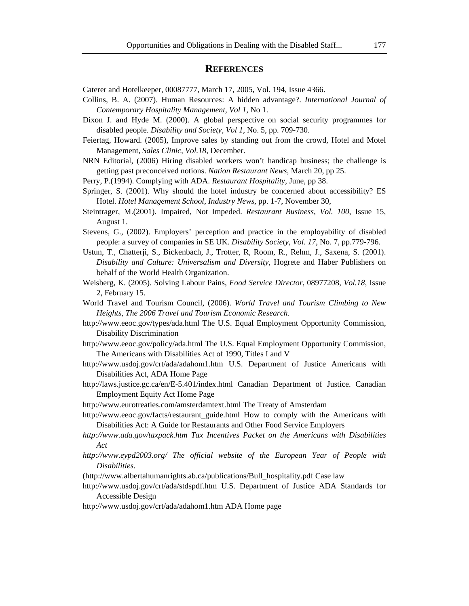# **REFERENCES**

Caterer and Hotelkeeper, 00087777, March 17, 2005, Vol. 194, Issue 4366.

- Collins, B. A. (2007). Human Resources: A hidden advantage?. *International Journal of Contemporary Hospitality Management, Vol 1,* No 1.
- Dixon J. and Hyde M. (2000). A global perspective on social security programmes for disabled people. *Disability and Society, Vol 1,* No. 5, pp. 709-730.
- Feiertag, Howard. (2005), Improve sales by standing out from the crowd, Hotel and Motel Management, *Sales Clinic, Vol.18*, December.
- NRN Editorial, (2006) Hiring disabled workers won't handicap business; the challenge is getting past preconceived notions. *Nation Restaurant News*, March 20, pp 25.
- Perry, P.(1994). Complying with ADA. *Restaurant Hospitality*, June, pp 38.
- Springer, S. (2001). Why should the hotel industry be concerned about accessibility? ES Hotel. *Hotel Management School, Industry News*, pp. 1-7, November 30,
- Steintrager, M.(2001). Impaired, Not Impeded. *Restaurant Business, Vol. 100*, Issue 15, August 1.
- Stevens, G., (2002). Employers' perception and practice in the employability of disabled people: a survey of companies in SE UK. *Disability Society, Vol. 17*, No. 7, pp.779-796.
- Ustun, T., Chatterji, S., Bickenbach, J., Trotter, R, Room, R., Rehm, J., Saxena, S. (2001). *Disability and Culture: Universalism and Diversity*, Hogrete and Haber Publishers on behalf of the World Health Organization.
- Weisberg, K. (2005). Solving Labour Pains, *Food Service Director*, 08977208, *Vol.18*, Issue 2, February 15.
- World Travel and Tourism Council, (2006). *World Travel and Tourism Climbing to New Heights, The 2006 Travel and Tourism Economic Research.*
- http://www.eeoc.gov/types/ada.html The U.S. Equal Employment Opportunity Commission, Disability Discrimination
- http://www.eeoc.gov/policy/ada.html The U.S. Equal Employment Opportunity Commission, The Americans with Disabilities Act of 1990, Titles I and V
- http://www.usdoj.gov/crt/ada/adahom1.htm U.S. Department of Justice Americans with Disabilities Act, ADA Home Page
- http://laws.justice.gc.ca/en/E-5.401/index.html Canadian Department of Justice. Canadian Employment Equity Act Home Page
- http://www.eurotreaties.com/amsterdamtext.html The Treaty of Amsterdam
- http://www.eeoc.gov/facts/restaurant\_guide.html How to comply with the Americans with Disabilities Act: A Guide for Restaurants and Other Food Service Employers
- *http://www.ada.gov/taxpack.htm Tax Incentives Packet on the Americans with Disabilities Act*
- *http://www.eypd2003.org/ The official website of the European Year of People with Disabilities.*
- (http://www.albertahumanrights.ab.ca/publications/Bull\_hospitality.pdf Case law
- http://www.usdoj.gov/crt/ada/stdspdf.htm U.S. Department of Justice ADA Standards for Accessible Design
- http://www.usdoj.gov/crt/ada/adahom1.htm ADA Home page